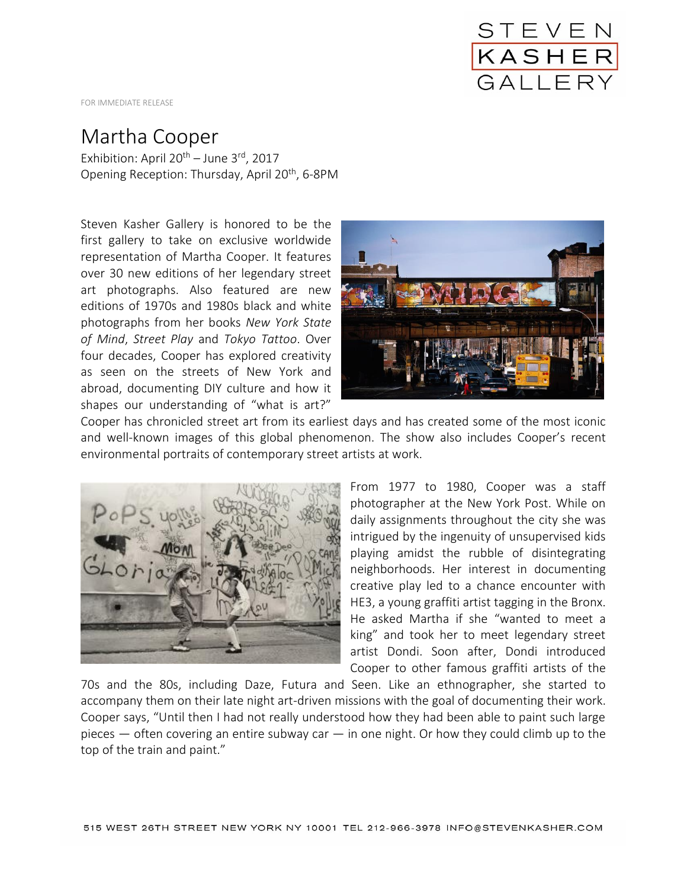

FOR IMMEDIATE RELEASE

## Martha Cooper

Exhibition: April  $20^{th}$  – June  $3^{rd}$ , 2017 Opening Reception: Thursday, April 20<sup>th</sup>, 6-8PM

Steven Kasher Gallery is honored to be the first gallery to take on exclusive worldwide representation of Martha Cooper. It features over 30 new editions of her legendary street art photographs. Also featured are new editions of 1970s and 1980s black and white photographs from her books *New York State of Mind*, *Street Play* and *Tokyo Tattoo*. Over four decades, Cooper has explored creativity as seen on the streets of New York and abroad, documenting DIY culture and how it shapes our understanding of "what is art?"



Cooper has chronicled street art from its earliest days and has created some of the most iconic and well-known images of this global phenomenon. The show also includes Cooper's recent environmental portraits of contemporary street artists at work.



From 1977 to 1980, Cooper was a staff photographer at the New York Post. While on daily assignments throughout the city she was intrigued by the ingenuity of unsupervised kids playing amidst the rubble of disintegrating neighborhoods. Her interest in documenting creative play led to a chance encounter with HE3, a young graffiti artist tagging in the Bronx. He asked Martha if she "wanted to meet a king" and took her to meet legendary street artist Dondi. Soon after, Dondi introduced Cooper to other famous graffiti artists of the

70s and the 80s, including Daze, Futura and Seen. Like an ethnographer, she started to accompany them on their late night art-driven missions with the goal of documenting their work. Cooper says, "Until then I had not really understood how they had been able to paint such large pieces  $-$  often covering an entire subway car  $-$  in one night. Or how they could climb up to the top of the train and paint."